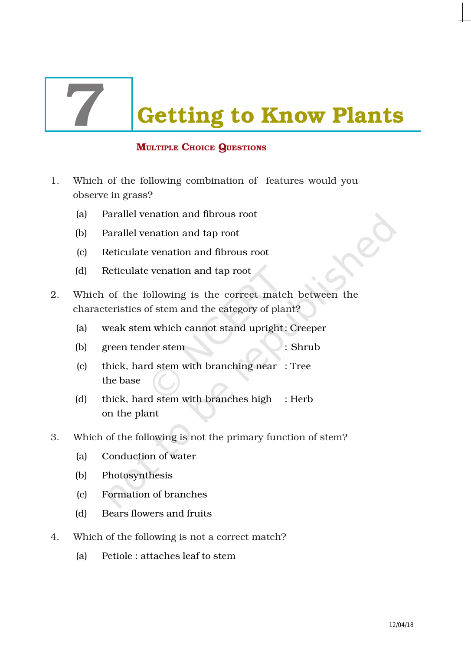**Getting to Know Plants** 

# MULTIPLE CHOICE QUESTIONS

- 1. Which of the following combination of features would you observe in grass?
	- (a) Parallel venation and fibrous root
	- (b) Parallel venation and tap root
	- (c) Reticulate venation and fibrous root
	- (d) Reticulate venation and tap root
- 2. Which of the following is the correct match between the characteristics of stem and the category of plant?
	- (a) weak stem which cannot stand upright: Creeper
	- (b) green tender stem : Shrub
	- (c) thick, hard stem with branching near : Tree the base
	- (d) thick, hard stem with branches high : Herb on the plant
- 3. Which of the following is not the primary function of stem?
	- (a) Conduction of water
	- (b) Photosynthesis
	- (c) Formation of branches
	- (d) Bears flowers and fruits
- 4. Which of the following is not a correct match?
	- (a) Petiole : attaches leaf to stem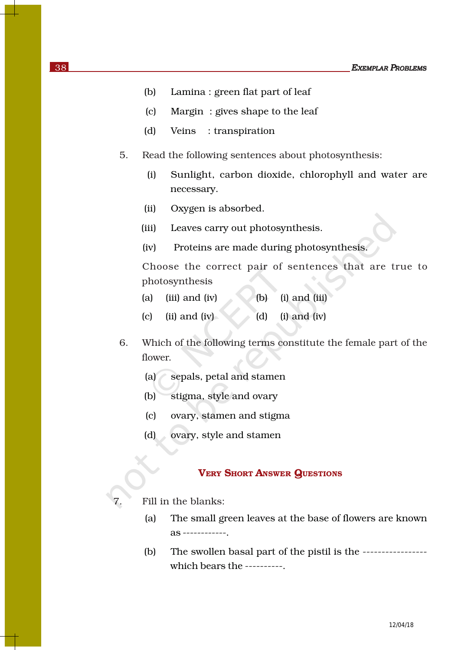- (b) Lamina : green flat part of leaf
- (c) Margin : gives shape to the leaf
- (d) Veins : transpiration
- 5. Read the following sentences about photosynthesis:
	- (i) Sunlight, carbon dioxide, chlorophyll and water are necessary.
	- (ii) Oxygen is absorbed.
	- (iii) Leaves carry out photosynthesis.
	- (iv) Proteins are made during photosynthesis.

Choose the correct pair of sentences that are true to photosynthesis

- (a) (iii) and (iv) (b) (i) and (iii)
- (c) (ii) and (iv) (d) (i) and (iv)
- 6. Which of the following terms constitute the female part of the flower.
	- (a) sepals, petal and stamen
	- (b) stigma, style and ovary
	- (c) ovary, stamen and stigma
	- (d) ovary, style and stamen

#### VERY SHORT ANSWER QUESTIONS

Fill in the blanks:

- (a) The small green leaves at the base of flowers are known as ------------.
- (b) The swollen basal part of the pistil is the ---------------- which bears the ----------.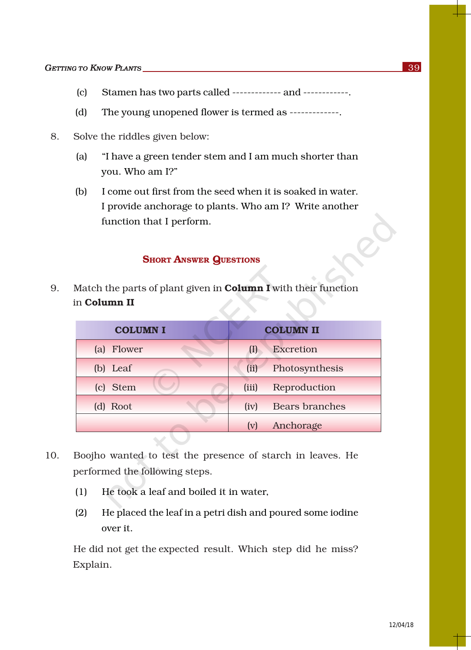- (c) Stamen has two parts called ------------- and ------------.
- (d) The young unopened flower is termed as -------------.
- 8. Solve the riddles given below:
	- (a) "I have a green tender stem and I am much shorter than you. Who am I?"
	- (b) I come out first from the seed when it is soaked in water. I provide anchorage to plants. Who am I? Write another function that I perform.

## **SHORT ANSWER QUESTIONS**

9. Match the parts of plant given in **Column I** with their function in Column II

| <b>COLUMN I</b> |                            | <b>COLUMN II</b>      |
|-----------------|----------------------------|-----------------------|
| (a) Flower      | $\left( \mathrm{I}\right)$ | <b>Excretion</b>      |
| (b) Leaf        | (ii)                       | Photosynthesis        |
| (c) Stem        | (iii)                      | Reproduction          |
| (d) Root        | (iv)                       | <b>Bears branches</b> |
|                 | (v)                        | Anchorage             |

- 10. Boojho wanted to test the presence of starch in leaves. He performed the following steps.
	- (1) He took a leaf and boiled it in water,
	- (2) He placed the leaf in a petri dish and poured some iodine over it.

He did not get the expected result. Which step did he miss? Explain.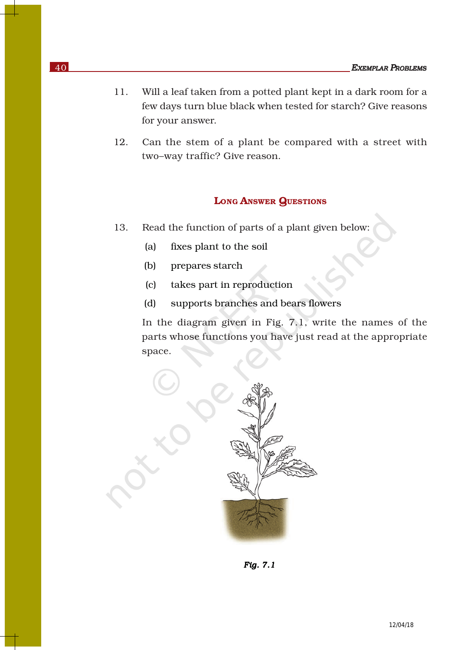- 11. Will a leaf taken from a potted plant kept in a dark room for a few days turn blue black when tested for starch? Give reasons for your answer.
- 12. Can the stem of a plant be compared with a street with two–way traffic? Give reason.

### LONG ANSWER QUESTIONS

- 13. Read the function of parts of a plant given below:
	- (a) fixes plant to the soil
	- (b) prepares starch
	- (c) takes part in reproduction
	- (d) supports branches and bears flowers

In the diagram given in Fig. 7.1, write the names of the parts whose functions you have just read at the appropriate space.



 *Fig. 7.1*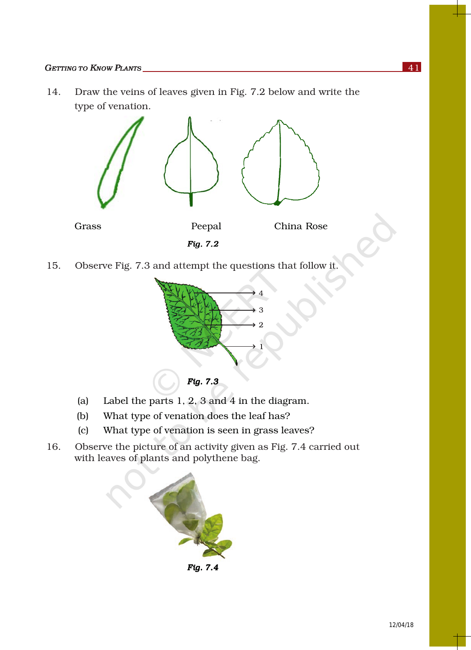### *GETTING TO KNOW PLANTS* 141

14. Draw the veins of leaves given in Fig. 7.2 below and write the type of venation.



15. Observe Fig. 7.3 and attempt the questions that follow it.



- (a) Label the parts 1, 2, 3 and 4 in the diagram.
- (b) What type of venation does the leaf has?
- (c) What type of venation is seen in grass leaves?
- 16. Observe the picture of an activity given as Fig. 7.4 carried out with leaves of plants and polythene bag.

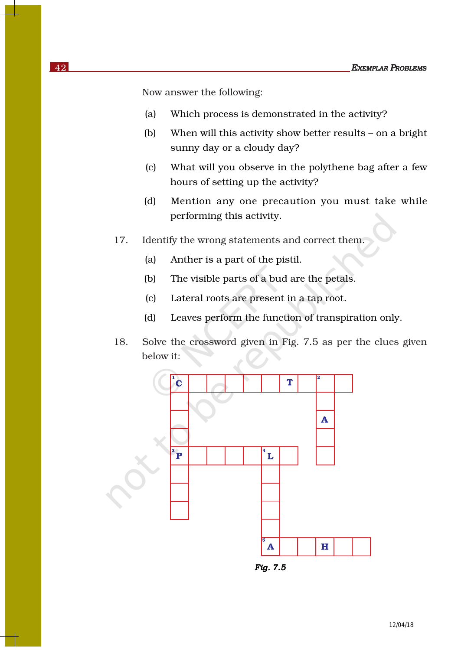Now answer the following:

- (a) Which process is demonstrated in the activity?
- (b) When will this activity show better results on a bright sunny day or a cloudy day?
- (c) What will you observe in the polythene bag after a few hours of setting up the activity?
- (d) Mention any one precaution you must take while performing this activity.
- 17. Identify the wrong statements and correct them.
	- (a) Anther is a part of the pistil.
	- (b) The visible parts of a bud are the petals.
	- (c) Lateral roots are present in a tap root.
	- (d) Leaves perform the function of transpiration only.
- 18. Solve the crossword given in Fig. 7.5 as per the clues given below it:



*Fig. 7.5 Fig. 7.5Fig.*